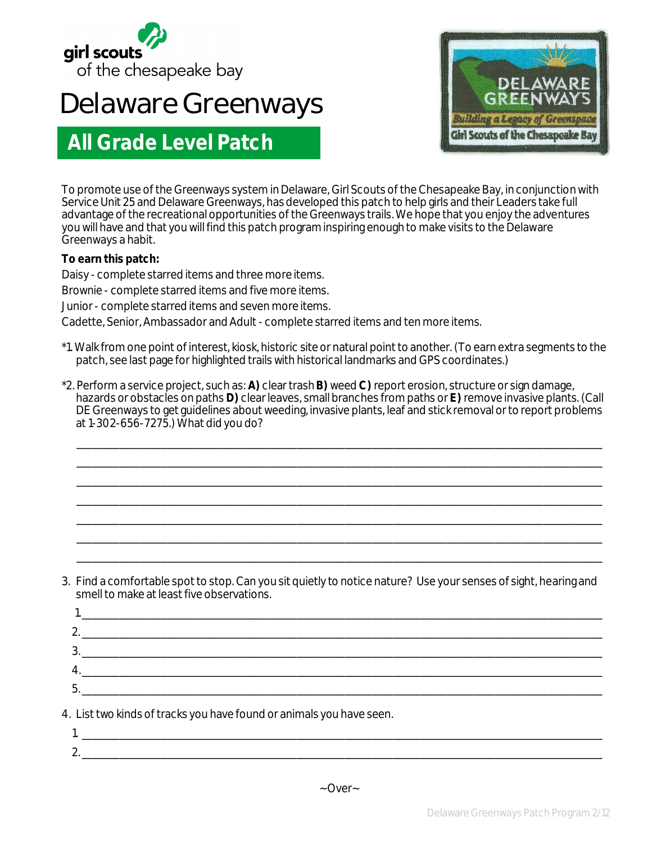

# **Delaware Greenways**

## **All Grade Level Patch**



To promote use of the Greenways system in Delaware, Girl Scouts of the Chesapeake Bay, in conjunction with Service Unit 25 and Delaware Greenways, has developed this patch to help girls and their Leaders take full advantage of the recreational opportunities of the Greenways trails. We hope that you enjoy the adventures you will have and that you will find this patch program inspiring enough to make visits to the Delaware Greenways a habit.

#### **To earn this patch:**

Daisy - complete starred items and three more items.

Brownie - complete starred items and five more items.

Junior - complete starred items and seven more items.

Cadette, Senior, Ambassador and Adult - complete starred items and ten more items.

- \*1. Walk from one point of interest, kiosk, historic site or natural point to another. (To earn extra segments to the patch, see last page for highlighted trails with historical landmarks and GPS coordinates.)
- \*2. Perform a service project, such as: **A)** clear trash **B)** weed **C)** report erosion, structure or sign damage, hazards or obstacles on paths **D)** clear leaves, small branches from paths or **E)** remove invasive plants. (Call DE Greenways to get guidelines about weeding, invasive plants, leaf and stick removal or to report problems at 1-302-656-7275.) What did you do?

 $\_$  ,  $\_$  ,  $\_$  ,  $\_$  ,  $\_$  ,  $\_$  ,  $\_$  ,  $\_$  ,  $\_$  ,  $\_$  ,  $\_$  ,  $\_$  ,  $\_$  ,  $\_$  ,  $\_$  ,  $\_$  ,  $\_$  ,  $\_$  ,  $\_$  ,  $\_$  ,  $\_$  ,  $\_$  ,  $\_$  ,  $\_$  ,  $\_$  ,  $\_$  ,  $\_$  ,  $\_$  ,  $\_$  ,  $\_$  ,  $\_$  ,  $\_$  ,  $\_$  ,  $\_$  ,  $\_$  ,  $\_$  ,  $\_$  , \_\_\_\_\_\_\_\_\_\_\_\_\_\_\_\_\_\_\_\_\_\_\_\_\_\_\_\_\_\_\_\_\_\_\_\_\_\_\_\_\_\_\_\_\_\_\_\_\_\_\_\_\_\_\_\_\_\_\_\_\_\_\_\_\_\_\_\_\_\_\_\_\_\_\_\_\_\_\_\_\_\_\_\_\_\_\_\_\_\_\_\_\_\_\_\_\_\_  $\_$  $\_$  ,  $\_$  ,  $\_$  ,  $\_$  ,  $\_$  ,  $\_$  ,  $\_$  ,  $\_$  ,  $\_$  ,  $\_$  ,  $\_$  ,  $\_$  ,  $\_$  ,  $\_$  ,  $\_$  ,  $\_$  ,  $\_$  ,  $\_$  ,  $\_$  ,  $\_$  ,  $\_$  ,  $\_$  ,  $\_$  ,  $\_$  ,  $\_$  ,  $\_$  ,  $\_$  ,  $\_$  ,  $\_$  ,  $\_$  ,  $\_$  ,  $\_$  ,  $\_$  ,  $\_$  ,  $\_$  ,  $\_$  ,  $\_$  ,  $\_$  ,  $\_$  ,  $\_$  ,  $\_$  ,  $\_$  ,  $\_$  ,  $\_$  ,  $\_$  ,  $\_$  ,  $\_$  ,  $\_$  ,  $\_$  ,  $\_$  ,  $\_$  ,  $\_$  ,  $\_$  ,  $\_$  ,  $\_$  ,  $\_$  ,  $\_$  ,  $\_$  ,  $\_$  ,  $\_$  ,  $\_$  ,  $\_$  ,  $\_$  ,  $\_$  ,  $\_$  ,  $\_$  ,  $\_$  ,  $\_$  ,  $\_$  ,  $\_$  ,  $\_$  ,  $\_$  ,  $\_$  ,  $\_$  ,  $\mathcal{L}_\text{max}$  , and the contract of the contract of the contract of the contract of the contract of the contract of the contract of the contract of the contract of the contract of the contract of the contract of the contr  $\_$ 

3. Find a comfortable spot to stop. Can you sit quietly to notice nature? Use your senses of sight, hearing and smell to make at least five observations.

4. List two kinds of tracks you have found or animals you have seen.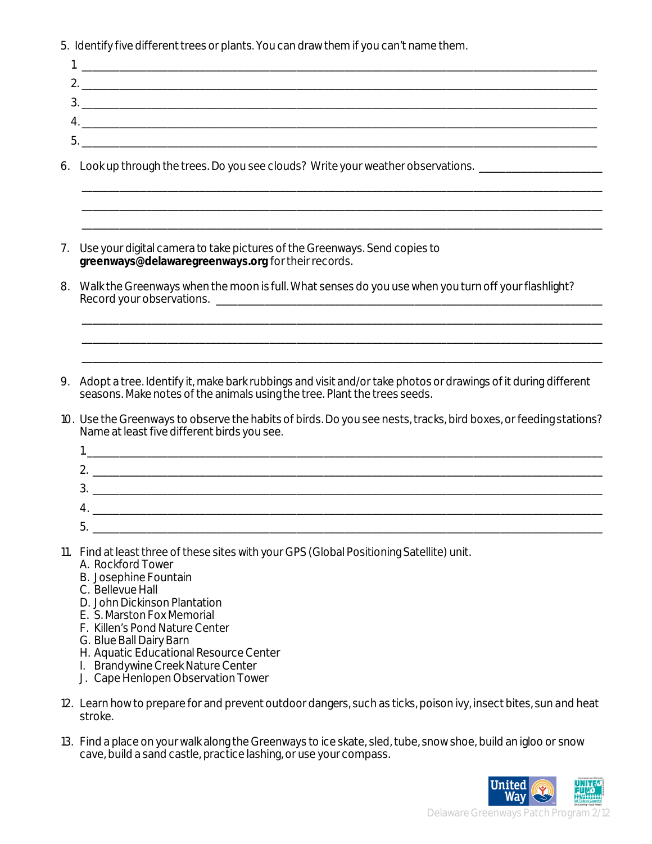5. Identify five different trees or plants. You can draw them if you can't name them.

 $\mathcal{L}_\text{max}$  , and the contract of the contract of the contract of the contract of the contract of the contract of the contract of the contract of the contract of the contract of the contract of the contract of the contr \_\_\_\_\_\_\_\_\_\_\_\_\_\_\_\_\_\_\_\_\_\_\_\_\_\_\_\_\_\_\_\_\_\_\_\_\_\_\_\_\_\_\_\_\_\_\_\_\_\_\_\_\_\_\_\_\_\_\_\_\_\_\_\_\_\_\_\_\_\_\_\_\_\_\_\_\_\_\_\_\_\_\_\_\_\_\_\_\_\_\_\_\_\_\_\_\_  $\Box$ 

\_\_\_\_\_\_\_\_\_\_\_\_\_\_\_\_\_\_\_\_\_\_\_\_\_\_\_\_\_\_\_\_\_\_\_\_\_\_\_\_\_\_\_\_\_\_\_\_\_\_\_\_\_\_\_\_\_\_\_\_\_\_\_\_\_\_\_\_\_\_\_\_\_\_\_\_\_\_\_\_\_\_\_\_\_\_\_\_\_\_\_\_\_\_\_\_\_ \_\_\_\_\_\_\_\_\_\_\_\_\_\_\_\_\_\_\_\_\_\_\_\_\_\_\_\_\_\_\_\_\_\_\_\_\_\_\_\_\_\_\_\_\_\_\_\_\_\_\_\_\_\_\_\_\_\_\_\_\_\_\_\_\_\_\_\_\_\_\_\_\_\_\_\_\_\_\_\_\_\_\_\_\_\_\_\_\_\_\_\_\_\_\_\_\_ \_\_\_\_\_\_\_\_\_\_\_\_\_\_\_\_\_\_\_\_\_\_\_\_\_\_\_\_\_\_\_\_\_\_\_\_\_\_\_\_\_\_\_\_\_\_\_\_\_\_\_\_\_\_\_\_\_\_\_\_\_\_\_\_\_\_\_\_\_\_\_\_\_\_\_\_\_\_\_\_\_\_\_\_\_\_\_\_\_\_\_\_\_\_\_\_\_

6. Look up through the trees. Do you see clouds? Write your weather observations.

7. Use your digital camera to take pictures of the Greenways. Send copies to **greenways@delawaregreenways.org** for their records.

8. Walk the Greenways when the moon is full. What senses do you use when you turn off your flashlight? Record your observations. \_\_\_\_\_\_\_\_\_\_\_\_\_\_\_\_\_\_\_\_\_\_\_\_\_\_\_\_\_\_\_\_\_\_\_\_\_\_\_\_\_\_\_\_\_\_\_\_\_\_\_\_\_\_\_\_\_\_\_\_\_\_\_\_\_\_\_\_\_\_\_\_

9. Adopt a tree. Identify it, make bark rubbings and visit and/or take photos or drawings of it during different seasons. Make notes of the animals using the tree. Plant the trees seeds.

10. Use the Greenways to observe the habits of birds. Do you see nests, tracks, bird boxes, or feeding stations? Name at least five different birds you see.

| $\prime$ |  |
|----------|--|
| ∽        |  |
|          |  |

11. Find at least three of these sites with your GPS (Global Positioning Satellite) unit.

- A. Rockford Tower
- B. Josephine Fountain
- C. Bellevue Hall
- D. John Dickinson Plantation
- E. S. Marston Fox Memorial
- F. Killen's Pond Nature Center
- G. Blue Ball Dairy Barn
- H. Aquatic Educational Resource Center
- I. Brandywine Creek Nature Center
- J. Cape Henlopen Observation Tower
- 12. Learn how to prepare for and prevent outdoor dangers, such as ticks, poison ivy, insect bites, sun and heat stroke.
- 13. Find a place on your walk along the Greenways to ice skate, sled, tube, snow shoe, build an igloo or snow cave, build a sand castle, practice lashing, or use your compass.

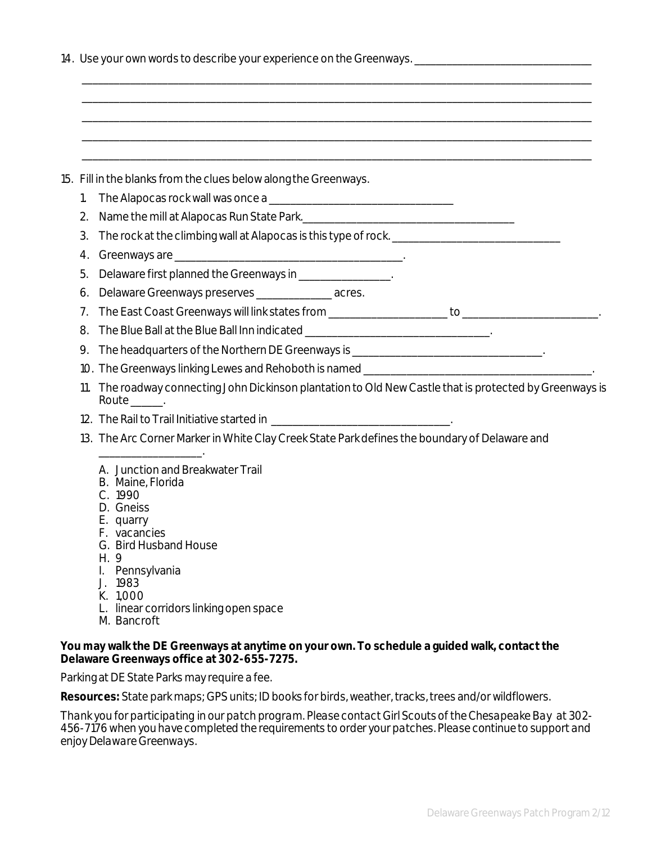|  | 14. Use your own words to describe your experience on the Greenways. _ |  |
|--|------------------------------------------------------------------------|--|
|  |                                                                        |  |

|     | 15. Fill in the blanks from the clues below along the Greenways.                                                            |
|-----|-----------------------------------------------------------------------------------------------------------------------------|
| 1.  | The Alapocas rock wall was once a                                                                                           |
| 2.  |                                                                                                                             |
| 3.  |                                                                                                                             |
| 4.  |                                                                                                                             |
| 5.  | Delaware first planned the Greenways in _________________.                                                                  |
| 6.  | Delaware Greenways preserves __________________ acres.                                                                      |
|     |                                                                                                                             |
| 8.  | The Blue Ball at the Blue Ball Inn indicated ___________________________________                                            |
| 9.  | The headquarters of the Northern DE Greenways is _______________________________                                            |
|     | 10. The Greenways linking Lewes and Rehoboth is named ___________________________                                           |
| 11. | The roadway connecting John Dickinson plantation to Old New Castle that is protected by Greenways is<br>Route $\_\_\_\_\$ . |
|     |                                                                                                                             |
|     | 13. The Arc Corner Marker in White Clay Creek State Park defines the boundary of Delaware and                               |
|     | A. Junction and Breakwater Trail<br>B. Maine, Florida<br>C. 1990<br>D. Gneiss<br>E. quarry                                  |

- F. vacancies
- G. Bird Husband House
- H. 9
- I. Pennsylvania
- J. 1983
- K. 1,000
- L. linear corridors linking open space
- M. Bancroft

#### **You may walk the DE Greenways at anytime on your own. To schedule a guided walk, contact the Delaware Greenways office at 302-655-7275.**

Parking at DE State Parks may require a fee.

**Resources:** State park maps; GPS units; ID books for birds, weather, tracks, trees and/or wildflowers.

*Thank you for participating in our patch program. Please contact Girl Scouts of the Chesapeake Bay at 302- 456-7176 when you have completed the requirements to order your patches. Please continue to support and enjoy Delaware Greenways.*